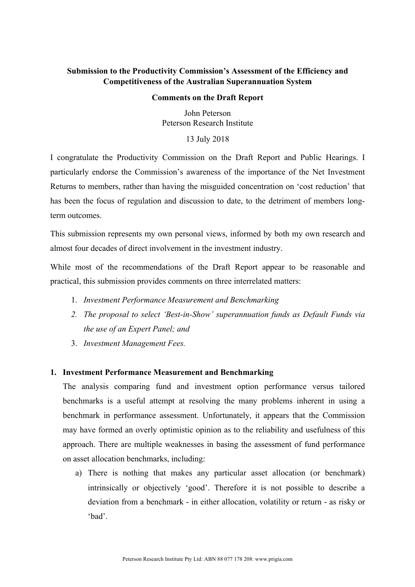# **Submission to the Productivity Commission's Assessment of the Efficiency and Competitiveness of the Australian Superannuation System**

#### **Comments on the Draft Report**

John Peterson Peterson Research Institute

13 July 2018

I congratulate the Productivity Commission on the Draft Report and Public Hearings. I particularly endorse the Commission's awareness of the importance of the Net Investment Returns to members, rather than having the misguided concentration on 'cost reduction' that has been the focus of regulation and discussion to date, to the detriment of members longterm outcomes.

This submission represents my own personal views, informed by both my own research and almost four decades of direct involvement in the investment industry.

While most of the recommendations of the Draft Report appear to be reasonable and practical, this submission provides comments on three interrelated matters:

- 1. *Investment Performance Measurement and Benchmarking*
- *2. The proposal to select 'Best-in-Show' superannuation funds as Default Funds via the use of an Expert Panel; and*
- 3. *Investment Management Fees.*

## **1. Investment Performance Measurement and Benchmarking**

The analysis comparing fund and investment option performance versus tailored benchmarks is a useful attempt at resolving the many problems inherent in using a benchmark in performance assessment. Unfortunately, it appears that the Commission may have formed an overly optimistic opinion as to the reliability and usefulness of this approach. There are multiple weaknesses in basing the assessment of fund performance on asset allocation benchmarks, including:

a) There is nothing that makes any particular asset allocation (or benchmark) intrinsically or objectively 'good'. Therefore it is not possible to describe a deviation from a benchmark - in either allocation, volatility or return - as risky or 'bad'.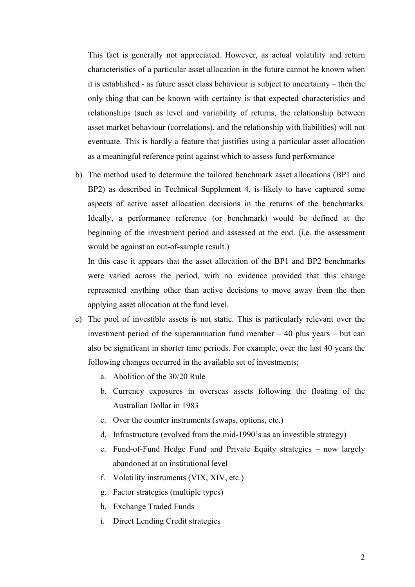This fact is generally not appreciated. However, as actual volatility and return characteristics of a particular asset allocation in the future cannot be known when it is established - as future asset class behaviour is subject to uncertainty – then the only thing that can be known with certainty is that expected characteristics and relationships (such as level and variability of returns, the relationship between asset market behaviour (correlations), and the relationship with liabilities) will not eventuate. This is hardly a feature that justifies using a particular asset allocation as a meaningful reference point against which to assess fund performance

b) The method used to determine the tailored benchmark asset allocations (BP1 and BP2) as described in Technical Supplement 4, is likely to have captured some aspects of active asset allocation decisions in the returns of the benchmarks. Ideally, a performance reference (or benchmark) would be defined at the beginning of the investment period and assessed at the end. (i.e. the assessment would be against an out-of-sample result.)

In this case it appears that the asset allocation of the BP1 and BP2 benchmarks were varied across the period, with no evidence provided that this change represented anything other than active decisions to move away from the then applying asset allocation at the fund level.

- c) The pool of investible assets is not static. This is particularly relevant over the investment period of the superannuation fund member – 40 plus years – but can also be significant in shorter time periods. For example, over the last 40 years the following changes occurred in the available set of investments;
	- a. Abolition of the 30/20 Rule
	- b. Currency exposures in overseas assets following the floating of the Australian Dollar in 1983
	- c. Over the counter instruments (swaps, options, etc.)
	- d. Infrastructure (evolved from the mid-1990's as an investible strategy)
	- e. Fund-of-Fund Hedge Fund and Private Equity strategies now largely abandoned at an institutional level
	- f. Volatility instruments (VIX, XIV, etc.)
	- g. Factor strategies (multiple types)
	- h. Exchange Traded Funds
	- i. Direct Lending Credit strategies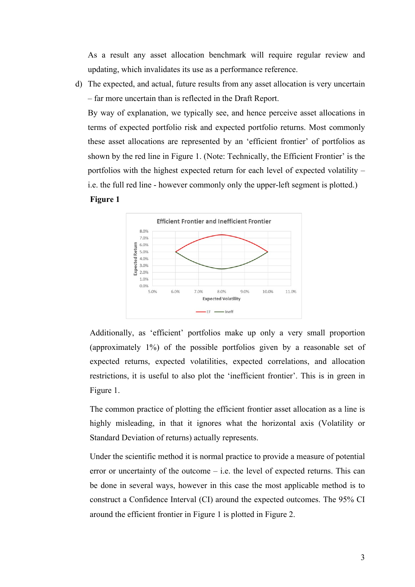As a result any asset allocation benchmark will require regular review and updating, which invalidates its use as a performance reference.

d) The expected, and actual, future results from any asset allocation is very uncertain – far more uncertain than is reflected in the Draft Report.

By way of explanation, we typically see, and hence perceive asset allocations in terms of expected portfolio risk and expected portfolio returns. Most commonly these asset allocations are represented by an 'efficient frontier' of portfolios as shown by the red line in Figure 1. (Note: Technically, the Efficient Frontier' is the portfolios with the highest expected return for each level of expected volatility – i.e. the full red line - however commonly only the upper-left segment is plotted.)

#### **Figure 1**



Additionally, as 'efficient' portfolios make up only a very small proportion (approximately 1%) of the possible portfolios given by a reasonable set of expected returns, expected volatilities, expected correlations, and allocation restrictions, it is useful to also plot the 'inefficient frontier'. This is in green in Figure 1.

The common practice of plotting the efficient frontier asset allocation as a line is highly misleading, in that it ignores what the horizontal axis (Volatility or Standard Deviation of returns) actually represents.

Under the scientific method it is normal practice to provide a measure of potential error or uncertainty of the outcome – i.e. the level of expected returns. This can be done in several ways, however in this case the most applicable method is to construct a Confidence Interval (CI) around the expected outcomes. The 95% CI around the efficient frontier in Figure 1 is plotted in Figure 2.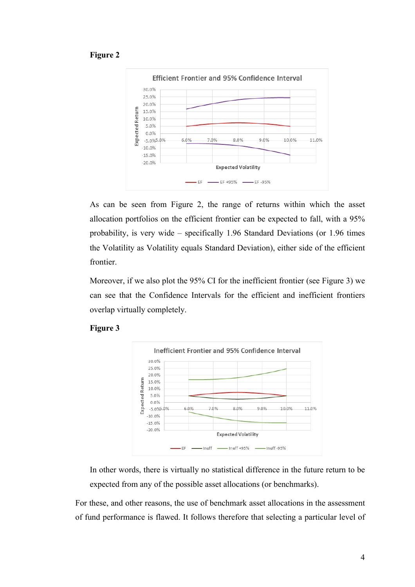### **Figure 2**



As can be seen from Figure 2, the range of returns within which the asset allocation portfolios on the efficient frontier can be expected to fall, with a 95% probability, is very wide – specifically 1.96 Standard Deviations (or 1.96 times the Volatility as Volatility equals Standard Deviation), either side of the efficient frontier.

Moreover, if we also plot the 95% CI for the inefficient frontier (see Figure 3) we can see that the Confidence Intervals for the efficient and inefficient frontiers overlap virtually completely.





In other words, there is virtually no statistical difference in the future return to be expected from any of the possible asset allocations (or benchmarks).

For these, and other reasons, the use of benchmark asset allocations in the assessment of fund performance is flawed. It follows therefore that selecting a particular level of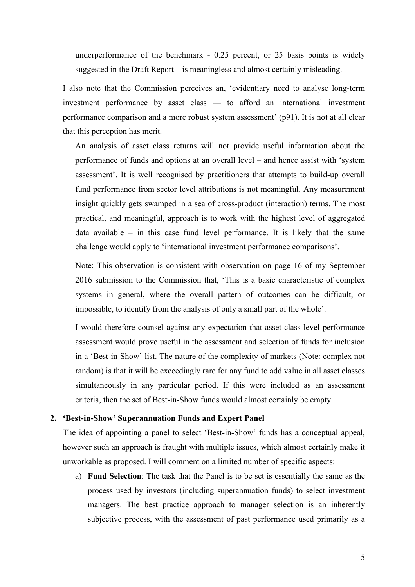underperformance of the benchmark - 0.25 percent, or 25 basis points is widely suggested in the Draft Report – is meaningless and almost certainly misleading.

I also note that the Commission perceives an, 'evidentiary need to analyse long-term investment performance by asset class — to afford an international investment performance comparison and a more robust system assessment' (p91). It is not at all clear that this perception has merit.

An analysis of asset class returns will not provide useful information about the performance of funds and options at an overall level – and hence assist with 'system assessment'. It is well recognised by practitioners that attempts to build-up overall fund performance from sector level attributions is not meaningful. Any measurement insight quickly gets swamped in a sea of cross-product (interaction) terms. The most practical, and meaningful, approach is to work with the highest level of aggregated data available – in this case fund level performance. It is likely that the same challenge would apply to 'international investment performance comparisons'.

Note: This observation is consistent with observation on page 16 of my September 2016 submission to the Commission that, 'This is a basic characteristic of complex systems in general, where the overall pattern of outcomes can be difficult, or impossible, to identify from the analysis of only a small part of the whole'.

I would therefore counsel against any expectation that asset class level performance assessment would prove useful in the assessment and selection of funds for inclusion in a 'Best-in-Show' list. The nature of the complexity of markets (Note: complex not random) is that it will be exceedingly rare for any fund to add value in all asset classes simultaneously in any particular period. If this were included as an assessment criteria, then the set of Best-in-Show funds would almost certainly be empty.

#### **2. 'Best-in-Show' Superannuation Funds and Expert Panel**

The idea of appointing a panel to select 'Best-in-Show' funds has a conceptual appeal, however such an approach is fraught with multiple issues, which almost certainly make it unworkable as proposed. I will comment on a limited number of specific aspects:

a) **Fund Selection**: The task that the Panel is to be set is essentially the same as the process used by investors (including superannuation funds) to select investment managers. The best practice approach to manager selection is an inherently subjective process, with the assessment of past performance used primarily as a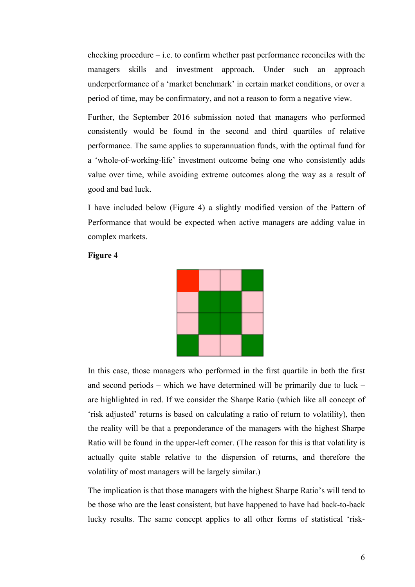$checking procedure - i.e.$  to confirm whether past performance reconciles with the managers skills and investment approach. Under such an approach underperformance of a 'market benchmark' in certain market conditions, or over a period of time, may be confirmatory, and not a reason to form a negative view.

Further, the September 2016 submission noted that managers who performed consistently would be found in the second and third quartiles of relative performance. The same applies to superannuation funds, with the optimal fund for a 'whole-of-working-life' investment outcome being one who consistently adds value over time, while avoiding extreme outcomes along the way as a result of good and bad luck.

I have included below (Figure 4) a slightly modified version of the Pattern of Performance that would be expected when active managers are adding value in complex markets.



## **Figure 4**

In this case, those managers who performed in the first quartile in both the first and second periods – which we have determined will be primarily due to luck – are highlighted in red. If we consider the Sharpe Ratio (which like all concept of 'risk adjusted' returns is based on calculating a ratio of return to volatility), then the reality will be that a preponderance of the managers with the highest Sharpe Ratio will be found in the upper-left corner. (The reason for this is that volatility is actually quite stable relative to the dispersion of returns, and therefore the volatility of most managers will be largely similar.)

The implication is that those managers with the highest Sharpe Ratio's will tend to be those who are the least consistent, but have happened to have had back-to-back lucky results. The same concept applies to all other forms of statistical 'risk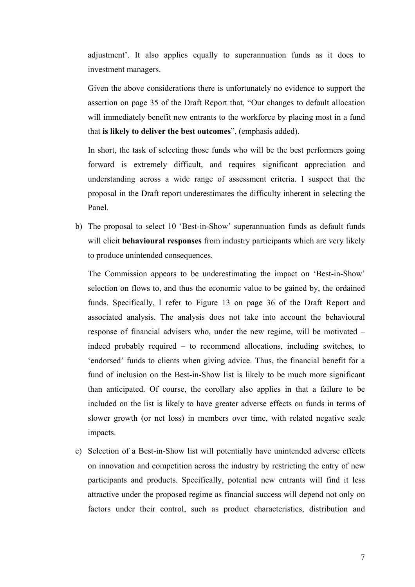adjustment'. It also applies equally to superannuation funds as it does to investment managers.

Given the above considerations there is unfortunately no evidence to support the assertion on page 35 of the Draft Report that, "Our changes to default allocation will immediately benefit new entrants to the workforce by placing most in a fund that **is likely to deliver the best outcomes**", (emphasis added).

In short, the task of selecting those funds who will be the best performers going forward is extremely difficult, and requires significant appreciation and understanding across a wide range of assessment criteria. I suspect that the proposal in the Draft report underestimates the difficulty inherent in selecting the Panel.

b) The proposal to select 10 'Best-in-Show' superannuation funds as default funds will elicit **behavioural responses** from industry participants which are very likely to produce unintended consequences.

The Commission appears to be underestimating the impact on 'Best-in-Show' selection on flows to, and thus the economic value to be gained by, the ordained funds. Specifically, I refer to Figure 13 on page 36 of the Draft Report and associated analysis. The analysis does not take into account the behavioural response of financial advisers who, under the new regime, will be motivated – indeed probably required – to recommend allocations, including switches, to 'endorsed' funds to clients when giving advice. Thus, the financial benefit for a fund of inclusion on the Best-in-Show list is likely to be much more significant than anticipated. Of course, the corollary also applies in that a failure to be included on the list is likely to have greater adverse effects on funds in terms of slower growth (or net loss) in members over time, with related negative scale impacts.

c) Selection of a Best-in-Show list will potentially have unintended adverse effects on innovation and competition across the industry by restricting the entry of new participants and products. Specifically, potential new entrants will find it less attractive under the proposed regime as financial success will depend not only on factors under their control, such as product characteristics, distribution and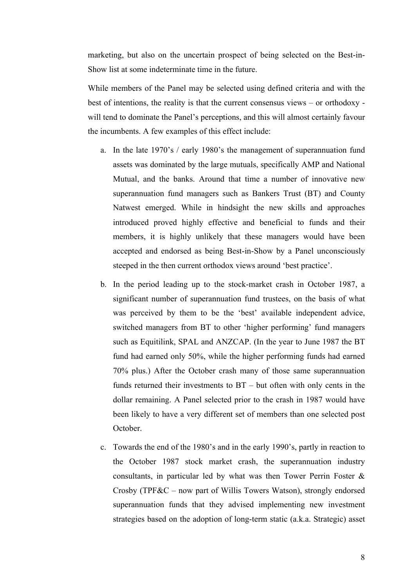marketing, but also on the uncertain prospect of being selected on the Best-in-Show list at some indeterminate time in the future.

While members of the Panel may be selected using defined criteria and with the best of intentions, the reality is that the current consensus views – or orthodoxy will tend to dominate the Panel's perceptions, and this will almost certainly favour the incumbents. A few examples of this effect include:

- a. In the late 1970's / early 1980's the management of superannuation fund assets was dominated by the large mutuals, specifically AMP and National Mutual, and the banks. Around that time a number of innovative new superannuation fund managers such as Bankers Trust (BT) and County Natwest emerged. While in hindsight the new skills and approaches introduced proved highly effective and beneficial to funds and their members, it is highly unlikely that these managers would have been accepted and endorsed as being Best-in-Show by a Panel unconsciously steeped in the then current orthodox views around 'best practice'.
- b. In the period leading up to the stock-market crash in October 1987, a significant number of superannuation fund trustees, on the basis of what was perceived by them to be the 'best' available independent advice, switched managers from BT to other 'higher performing' fund managers such as Equitilink, SPAL and ANZCAP. (In the year to June 1987 the BT fund had earned only 50%, while the higher performing funds had earned 70% plus.) After the October crash many of those same superannuation funds returned their investments to BT – but often with only cents in the dollar remaining. A Panel selected prior to the crash in 1987 would have been likely to have a very different set of members than one selected post October.
- c. Towards the end of the 1980's and in the early 1990's, partly in reaction to the October 1987 stock market crash, the superannuation industry consultants, in particular led by what was then Tower Perrin Foster & Crosby (TPF&C – now part of Willis Towers Watson), strongly endorsed superannuation funds that they advised implementing new investment strategies based on the adoption of long-term static (a.k.a. Strategic) asset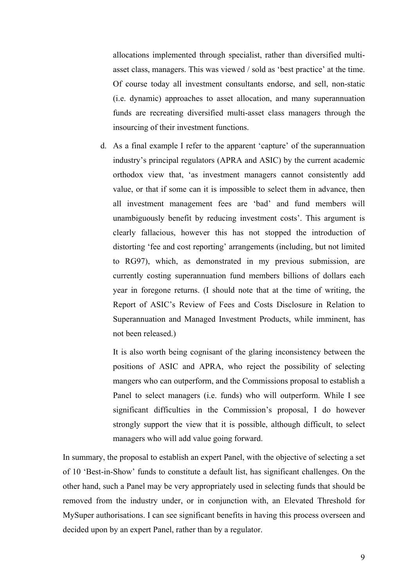allocations implemented through specialist, rather than diversified multiasset class, managers. This was viewed / sold as 'best practice' at the time. Of course today all investment consultants endorse, and sell, non-static (i.e. dynamic) approaches to asset allocation, and many superannuation funds are recreating diversified multi-asset class managers through the insourcing of their investment functions.

d. As a final example I refer to the apparent 'capture' of the superannuation industry's principal regulators (APRA and ASIC) by the current academic orthodox view that, 'as investment managers cannot consistently add value, or that if some can it is impossible to select them in advance, then all investment management fees are 'bad' and fund members will unambiguously benefit by reducing investment costs'. This argument is clearly fallacious, however this has not stopped the introduction of distorting 'fee and cost reporting' arrangements (including, but not limited to RG97), which, as demonstrated in my previous submission, are currently costing superannuation fund members billions of dollars each year in foregone returns. (I should note that at the time of writing, the Report of ASIC's Review of Fees and Costs Disclosure in Relation to Superannuation and Managed Investment Products, while imminent, has not been released.)

It is also worth being cognisant of the glaring inconsistency between the positions of ASIC and APRA, who reject the possibility of selecting mangers who can outperform, and the Commissions proposal to establish a Panel to select managers (i.e. funds) who will outperform. While I see significant difficulties in the Commission's proposal, I do however strongly support the view that it is possible, although difficult, to select managers who will add value going forward.

In summary, the proposal to establish an expert Panel, with the objective of selecting a set of 10 'Best-in-Show' funds to constitute a default list, has significant challenges. On the other hand, such a Panel may be very appropriately used in selecting funds that should be removed from the industry under, or in conjunction with, an Elevated Threshold for MySuper authorisations. I can see significant benefits in having this process overseen and decided upon by an expert Panel, rather than by a regulator.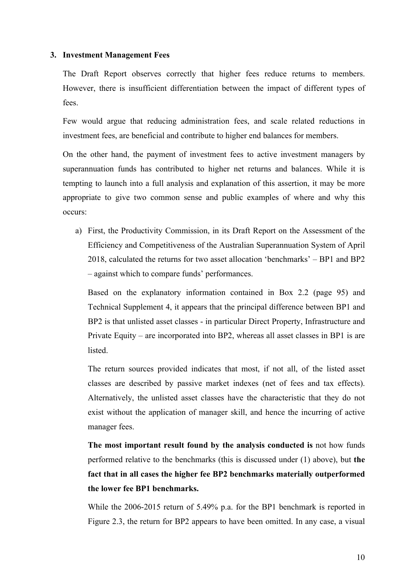#### **3. Investment Management Fees**

The Draft Report observes correctly that higher fees reduce returns to members. However, there is insufficient differentiation between the impact of different types of fees.

Few would argue that reducing administration fees, and scale related reductions in investment fees, are beneficial and contribute to higher end balances for members.

On the other hand, the payment of investment fees to active investment managers by superannuation funds has contributed to higher net returns and balances. While it is tempting to launch into a full analysis and explanation of this assertion, it may be more appropriate to give two common sense and public examples of where and why this occurs:

a) First, the Productivity Commission, in its Draft Report on the Assessment of the Efficiency and Competitiveness of the Australian Superannuation System of April 2018, calculated the returns for two asset allocation 'benchmarks' – BP1 and BP2 – against which to compare funds' performances.

Based on the explanatory information contained in Box 2.2 (page 95) and Technical Supplement 4, it appears that the principal difference between BP1 and BP2 is that unlisted asset classes - in particular Direct Property, Infrastructure and Private Equity – are incorporated into BP2, whereas all asset classes in BP1 is are **listed** 

The return sources provided indicates that most, if not all, of the listed asset classes are described by passive market indexes (net of fees and tax effects). Alternatively, the unlisted asset classes have the characteristic that they do not exist without the application of manager skill, and hence the incurring of active manager fees.

**The most important result found by the analysis conducted is** not how funds performed relative to the benchmarks (this is discussed under (1) above), but **the fact that in all cases the higher fee BP2 benchmarks materially outperformed the lower fee BP1 benchmarks.**

While the 2006-2015 return of 5.49% p.a. for the BP1 benchmark is reported in Figure 2.3, the return for BP2 appears to have been omitted. In any case, a visual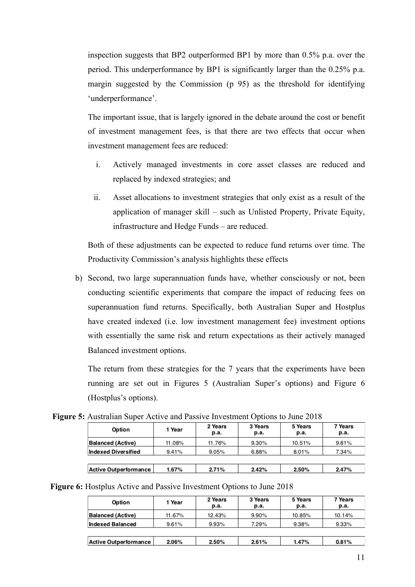inspection suggests that BP2 outperformed BP1 by more than 0.5% p.a. over the period. This underperformance by BP1 is significantly larger than the 0.25% p.a. margin suggested by the Commission (p 95) as the threshold for identifying 'underperformance'.

The important issue, that is largely ignored in the debate around the cost or benefit of investment management fees, is that there are two effects that occur when investment management fees are reduced:

- i. Actively managed investments in core asset classes are reduced and replaced by indexed strategies; and
- ii. Asset allocations to investment strategies that only exist as a result of the application of manager skill – such as Unlisted Property, Private Equity, infrastructure and Hedge Funds – are reduced.

Both of these adjustments can be expected to reduce fund returns over time. The Productivity Commission's analysis highlights these effects

b) Second, two large superannuation funds have, whether consciously or not, been conducting scientific experiments that compare the impact of reducing fees on superannuation fund returns. Specifically, both Australian Super and Hostplus have created indexed (i.e. low investment management fee) investment options with essentially the same risk and return expectations as their actively managed Balanced investment options.

The return from these strategies for the 7 years that the experiments have been running are set out in Figures 5 (Australian Super's options) and Figure 6 (Hostplus's options).

**Figure 5:** Australian Super Active and Passive Investment Options to June 2018

| Option                   | 1 Year | 2 Years<br>p.a. | 3 Years<br>р.а. | 5 Years<br>p.a. | 7 Years<br>p.a. |
|--------------------------|--------|-----------------|-----------------|-----------------|-----------------|
| <b>Balanced (Active)</b> | 11.08% | 11.76%          | 9.30%           | 10.51%          | 9.81%           |
| Indexed Diversified      | 9.41%  | 9.05%           | 6.88%           | 8.01%           | 7.34%           |
|                          |        |                 |                 |                 |                 |
| Active Outperformance    | 1.67%  | 271%            | 2.42%           | 2.50%           | 2.47%           |

| Option                   | 1 Year | 2 Years<br>p.a. | 3 Years<br>р.а. | 5 Years<br>p.a. | 7 Years<br>р.а. |
|--------------------------|--------|-----------------|-----------------|-----------------|-----------------|
| <b>Balanced (Active)</b> | 11.67% | 12.43%          | 9.90%           | 10.85%          | 10.14%          |
| <b>Indexed Balanced</b>  | 9.61%  | 9.93%           | 7.29%           | 9.38%           | 9.33%           |
|                          |        |                 |                 |                 |                 |
| Active Outperformance    | 2.06%  | 2.50%           | 2.61%           | 1.47%           | 0.81%           |